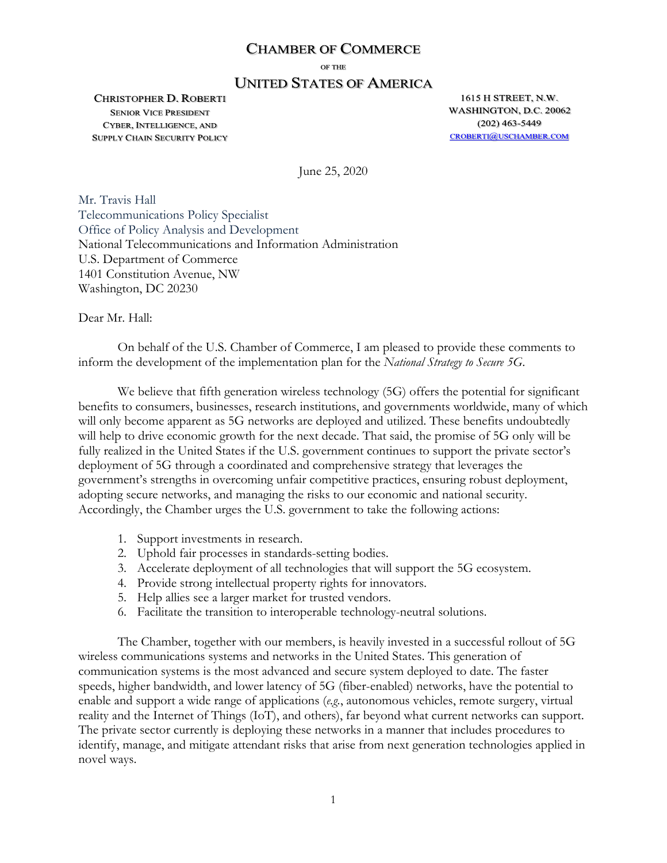#### **CHAMBER OF COMMERCE**

OF THE

## **UNITED STATES OF AMERICA**

**CHRISTOPHER D. ROBERTI SENIOR VICE PRESIDENT** CYBER, INTELLIGENCE, AND **SUPPLY CHAIN SECURITY POLICY** 

1615 H STREET, N.W. WASHINGTON, D.C. 20062  $(202)$  463-5449 **CROBERTI@USCHAMBER.COM** 

June 25, 2020

Mr. Travis Hall Telecommunications Policy Specialist Office of Policy Analysis and Development National Telecommunications and Information Administration U.S. Department of Commerce 1401 Constitution Avenue, NW Washington, DC 20230

Dear Mr. Hall:

On behalf of the U.S. Chamber of Commerce, I am pleased to provide these comments to inform the development of the implementation plan for the *National Strategy to Secure 5G*.

We believe that fifth generation wireless technology (5G) offers the potential for significant benefits to consumers, businesses, research institutions, and governments worldwide, many of which will only become apparent as 5G networks are deployed and utilized. These benefits undoubtedly will help to drive economic growth for the next decade. That said, the promise of 5G only will be fully realized in the United States if the U.S. government continues to support the private sector's deployment of 5G through a coordinated and comprehensive strategy that leverages the government's strengths in overcoming unfair competitive practices, ensuring robust deployment, adopting secure networks, and managing the risks to our economic and national security. Accordingly, the Chamber urges the U.S. government to take the following actions:

- 1. Support investments in research.
- 2. Uphold fair processes in standards-setting bodies.
- 3. Accelerate deployment of all technologies that will support the 5G ecosystem.
- 4. Provide strong intellectual property rights for innovators.
- 5. Help allies see a larger market for trusted vendors.
- 6. Facilitate the transition to interoperable technology-neutral solutions.

The Chamber, together with our members, is heavily invested in a successful rollout of 5G wireless communications systems and networks in the United States. This generation of communication systems is the most advanced and secure system deployed to date. The faster speeds, higher bandwidth, and lower latency of 5G (fiber-enabled) networks, have the potential to enable and support a wide range of applications (*e.g.*, autonomous vehicles, remote surgery, virtual reality and the Internet of Things (IoT), and others), far beyond what current networks can support. The private sector currently is deploying these networks in a manner that includes procedures to identify, manage, and mitigate attendant risks that arise from next generation technologies applied in novel ways.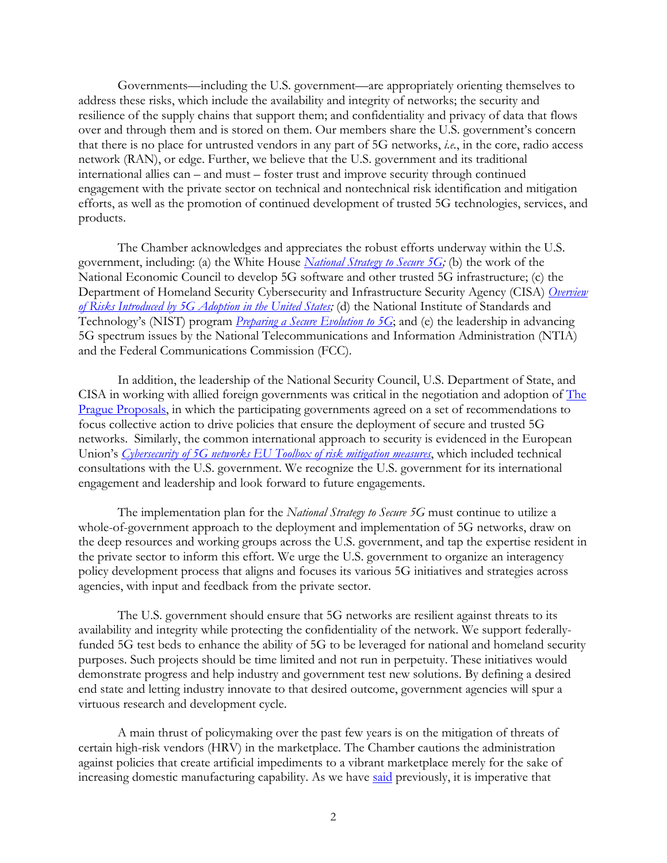Governments—including the U.S. government—are appropriately orienting themselves to address these risks, which include the availability and integrity of networks; the security and resilience of the supply chains that support them; and confidentiality and privacy of data that flows over and through them and is stored on them. Our members share the U.S. government's concern that there is no place for untrusted vendors in any part of 5G networks, *i.e.*, in the core, radio access network (RAN), or edge. Further, we believe that the U.S. government and its traditional international allies can – and must – foster trust and improve security through continued engagement with the private sector on technical and nontechnical risk identification and mitigation efforts, as well as the promotion of continued development of trusted 5G technologies, services, and products.

The Chamber acknowledges and appreciates the robust efforts underway within the U.S. government, including: (a) the White House *National Strategy to Secure 5G;* (b) the work of the National Economic Council to develop 5G software and other trusted 5G infrastructure; (c) the Department of Homeland Security Cybersecurity and Infrastructure Security Agency (CISA) *Overview of Risks Introduced by 5G Adoption in the United States;* (d) the National Institute of Standards and Technology's (NIST) program *Preparing a Secure Evolution to 5G*; and (e) the leadership in advancing 5G spectrum issues by the National Telecommunications and Information Administration (NTIA) and the Federal Communications Commission (FCC).

In addition, the leadership of the National Security Council, U.S. Department of State, and CISA in working with allied foreign governments was critical in the negotiation and adoption of The Prague Proposals, in which the participating governments agreed on a set of recommendations to focus collective action to drive policies that ensure the deployment of secure and trusted 5G networks. Similarly, the common international approach to security is evidenced in the European Union's *Cybersecurity of 5G networks EU Toolbox of risk mitigation measures*, which included technical consultations with the U.S. government. We recognize the U.S. government for its international engagement and leadership and look forward to future engagements.

The implementation plan for the *National Strategy to Secure 5G* must continue to utilize a whole-of-government approach to the deployment and implementation of 5G networks, draw on the deep resources and working groups across the U.S. government, and tap the expertise resident in the private sector to inform this effort. We urge the U.S. government to organize an interagency policy development process that aligns and focuses its various 5G initiatives and strategies across agencies, with input and feedback from the private sector.

The U.S. government should ensure that 5G networks are resilient against threats to its availability and integrity while protecting the confidentiality of the network. We support federallyfunded 5G test beds to enhance the ability of 5G to be leveraged for national and homeland security purposes. Such projects should be time limited and not run in perpetuity. These initiatives would demonstrate progress and help industry and government test new solutions. By defining a desired end state and letting industry innovate to that desired outcome, government agencies will spur a virtuous research and development cycle.

A main thrust of policymaking over the past few years is on the mitigation of threats of certain high-risk vendors (HRV) in the marketplace. The Chamber cautions the administration against policies that create artificial impediments to a vibrant marketplace merely for the sake of increasing domestic manufacturing capability. As we have said previously, it is imperative that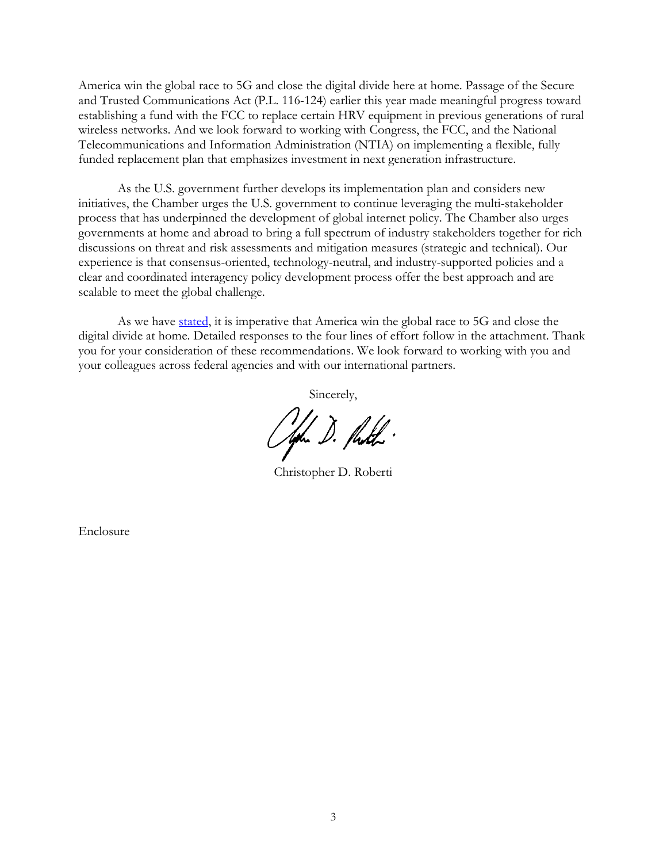America win the global race to 5G and close the digital divide here at home. Passage of the Secure and Trusted Communications Act (P.L. 116-124) earlier this year made meaningful progress toward establishing a fund with the FCC to replace certain HRV equipment in previous generations of rural wireless networks. And we look forward to working with Congress, the FCC, and the National Telecommunications and Information Administration (NTIA) on implementing a flexible, fully funded replacement plan that emphasizes investment in next generation infrastructure.

As the U.S. government further develops its implementation plan and considers new initiatives, the Chamber urges the U.S. government to continue leveraging the multi-stakeholder process that has underpinned the development of global internet policy. The Chamber also urges governments at home and abroad to bring a full spectrum of industry stakeholders together for rich discussions on threat and risk assessments and mitigation measures (strategic and technical). Our experience is that consensus-oriented, technology-neutral, and industry-supported policies and a clear and coordinated interagency policy development process offer the best approach and are scalable to meet the global challenge.

As we have stated, it is imperative that America win the global race to 5G and close the digital divide at home. Detailed responses to the four lines of effort follow in the attachment. Thank you for your consideration of these recommendations. We look forward to working with you and your colleagues across federal agencies and with our international partners.

Sincerely,

Offin D. Pudh.

Christopher D. Roberti

Enclosure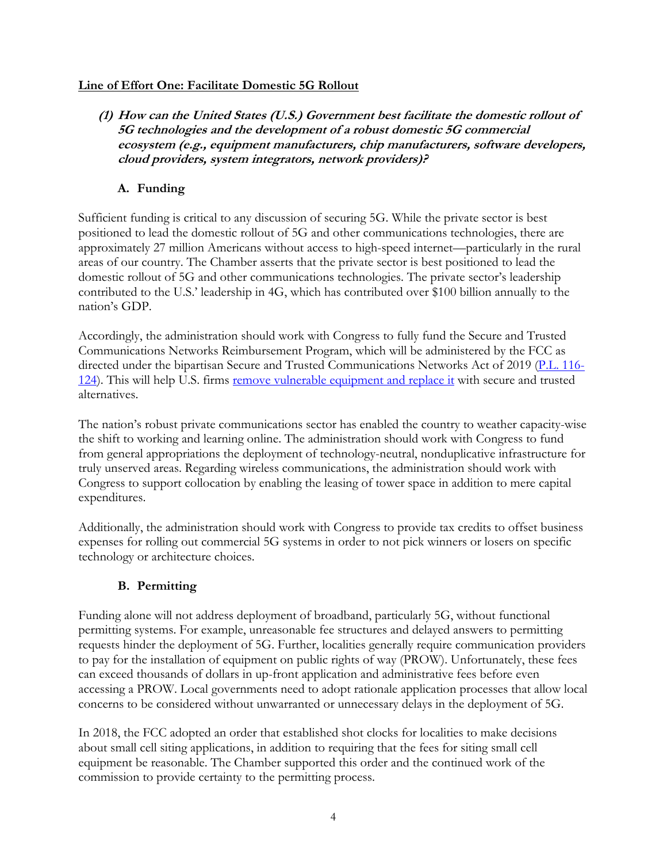#### **Line of Effort One: Facilitate Domestic 5G Rollout**

**(1) How can the United States (U.S.) Government best facilitate the domestic rollout of 5G technologies and the development of a robust domestic 5G commercial ecosystem (e.g., equipment manufacturers, chip manufacturers, software developers, cloud providers, system integrators, network providers)?**

## **A. Funding**

Sufficient funding is critical to any discussion of securing 5G. While the private sector is best positioned to lead the domestic rollout of 5G and other communications technologies, there are approximately 27 million Americans without access to high-speed internet—particularly in the rural areas of our country. The Chamber asserts that the private sector is best positioned to lead the domestic rollout of 5G and other communications technologies. The private sector's leadership contributed to the U.S.' leadership in 4G, which has contributed over \$100 billion annually to the nation's GDP.

Accordingly, the administration should work with Congress to fully fund the Secure and Trusted Communications Networks Reimbursement Program, which will be administered by the FCC as directed under the bipartisan Secure and Trusted Communications Networks Act of 2019 (P.L. 116-124). This will help U.S. firms remove vulnerable equipment and replace it with secure and trusted alternatives.

The nation's robust private communications sector has enabled the country to weather capacity-wise the shift to working and learning online. The administration should work with Congress to fund from general appropriations the deployment of technology-neutral, nonduplicative infrastructure for truly unserved areas. Regarding wireless communications, the administration should work with Congress to support collocation by enabling the leasing of tower space in addition to mere capital expenditures.

Additionally, the administration should work with Congress to provide tax credits to offset business expenses for rolling out commercial 5G systems in order to not pick winners or losers on specific technology or architecture choices.

### **B. Permitting**

Funding alone will not address deployment of broadband, particularly 5G, without functional permitting systems. For example, unreasonable fee structures and delayed answers to permitting requests hinder the deployment of 5G. Further, localities generally require communication providers to pay for the installation of equipment on public rights of way (PROW). Unfortunately, these fees can exceed thousands of dollars in up-front application and administrative fees before even accessing a PROW. Local governments need to adopt rationale application processes that allow local concerns to be considered without unwarranted or unnecessary delays in the deployment of 5G.

In 2018, the FCC adopted an order that established shot clocks for localities to make decisions about small cell siting applications, in addition to requiring that the fees for siting small cell equipment be reasonable. The Chamber supported this order and the continued work of the commission to provide certainty to the permitting process.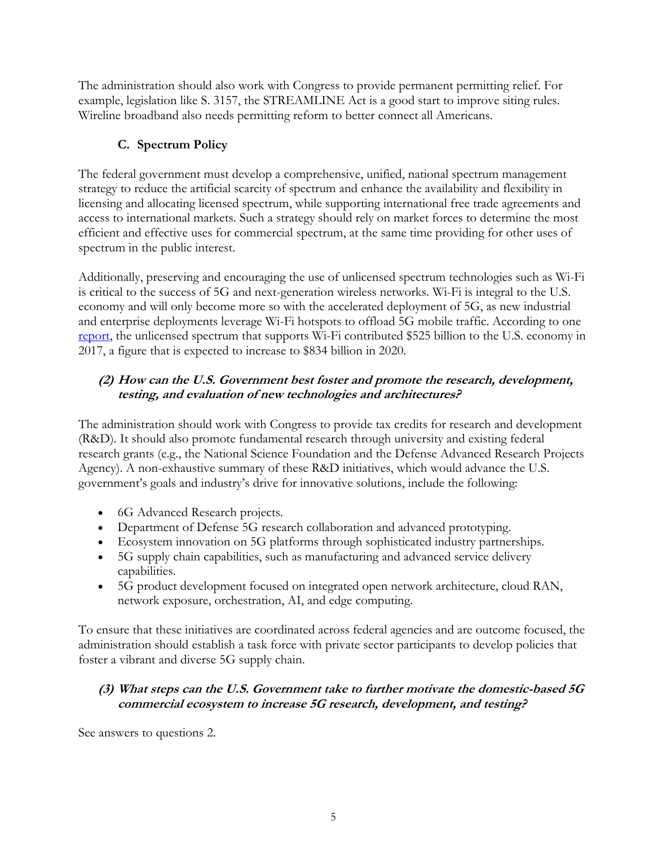The administration should also work with Congress to provide permanent permitting relief. For example, legislation like S. 3157, the STREAMLINE Act is a good start to improve siting rules. Wireline broadband also needs permitting reform to better connect all Americans.

# **C. Spectrum Policy**

The federal government must develop a comprehensive, unified, national spectrum management strategy to reduce the artificial scarcity of spectrum and enhance the availability and flexibility in licensing and allocating licensed spectrum, while supporting international free trade agreements and access to international markets. Such a strategy should rely on market forces to determine the most efficient and effective uses for commercial spectrum, at the same time providing for other uses of spectrum in the public interest.

Additionally, preserving and encouraging the use of unlicensed spectrum technologies such as Wi-Fi is critical to the success of 5G and next-generation wireless networks. Wi-Fi is integral to the U.S. economy and will only become more so with the accelerated deployment of 5G, as new industrial and enterprise deployments leverage Wi-Fi hotspots to offload 5G mobile traffic. According to one report, the unlicensed spectrum that supports Wi-Fi contributed \$525 billion to the U.S. economy in 2017, a figure that is expected to increase to \$834 billion in 2020.

# **(2) How can the U.S. Government best foster and promote the research, development, testing, and evaluation of new technologies and architectures?**

The administration should work with Congress to provide tax credits for research and development (R&D). It should also promote fundamental research through university and existing federal research grants (e.g., the National Science Foundation and the Defense Advanced Research Projects Agency). A non-exhaustive summary of these R&D initiatives, which would advance the U.S. government's goals and industry's drive for innovative solutions, include the following:

- 6G Advanced Research projects.
- Department of Defense 5G research collaboration and advanced prototyping.
- Ecosystem innovation on 5G platforms through sophisticated industry partnerships.
- 5G supply chain capabilities, such as manufacturing and advanced service delivery capabilities.
- 5G product development focused on integrated open network architecture, cloud RAN, network exposure, orchestration, AI, and edge computing.

To ensure that these initiatives are coordinated across federal agencies and are outcome focused, the administration should establish a task force with private sector participants to develop policies that foster a vibrant and diverse 5G supply chain.

## **(3) What steps can the U.S. Government take to further motivate the domestic-based 5G commercial ecosystem to increase 5G research, development, and testing?**

See answers to questions 2.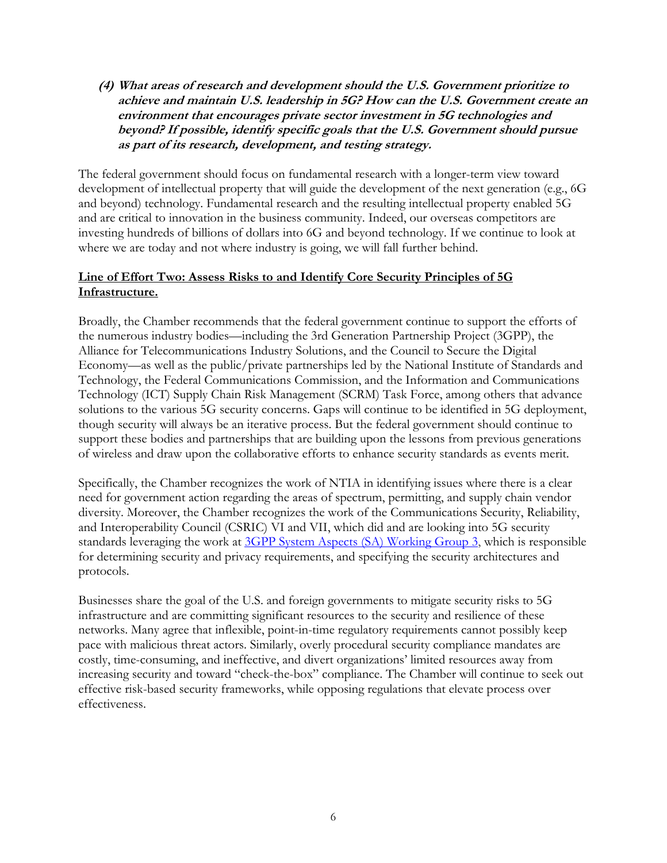#### **(4) What areas of research and development should the U.S. Government prioritize to achieve and maintain U.S. leadership in 5G? How can the U.S. Government create an environment that encourages private sector investment in 5G technologies and beyond? If possible, identify specific goals that the U.S. Government should pursue as part of its research, development, and testing strategy.**

The federal government should focus on fundamental research with a longer-term view toward development of intellectual property that will guide the development of the next generation (e.g., 6G and beyond) technology. Fundamental research and the resulting intellectual property enabled 5G and are critical to innovation in the business community. Indeed, our overseas competitors are investing hundreds of billions of dollars into 6G and beyond technology. If we continue to look at where we are today and not where industry is going, we will fall further behind.

#### **Line of Effort Two: Assess Risks to and Identify Core Security Principles of 5G Infrastructure.**

Broadly, the Chamber recommends that the federal government continue to support the efforts of the numerous industry bodies—including the 3rd Generation Partnership Project (3GPP), the Alliance for Telecommunications Industry Solutions, and the Council to Secure the Digital Economy—as well as the public/private partnerships led by the National Institute of Standards and Technology, the Federal Communications Commission, and the Information and Communications Technology (ICT) Supply Chain Risk Management (SCRM) Task Force, among others that advance solutions to the various 5G security concerns. Gaps will continue to be identified in 5G deployment, though security will always be an iterative process. But the federal government should continue to support these bodies and partnerships that are building upon the lessons from previous generations of wireless and draw upon the collaborative efforts to enhance security standards as events merit.

Specifically, the Chamber recognizes the work of NTIA in identifying issues where there is a clear need for government action regarding the areas of spectrum, permitting, and supply chain vendor diversity. Moreover, the Chamber recognizes the work of the Communications Security, Reliability, and Interoperability Council (CSRIC) VI and VII, which did and are looking into 5G security standards leveraging the work at 3GPP System Aspects (SA) Working Group 3, which is responsible for determining security and privacy requirements, and specifying the security architectures and protocols.

Businesses share the goal of the U.S. and foreign governments to mitigate security risks to 5G infrastructure and are committing significant resources to the security and resilience of these networks. Many agree that inflexible, point-in-time regulatory requirements cannot possibly keep pace with malicious threat actors. Similarly, overly procedural security compliance mandates are costly, time-consuming, and ineffective, and divert organizations' limited resources away from increasing security and toward "check-the-box" compliance. The Chamber will continue to seek out effective risk-based security frameworks, while opposing regulations that elevate process over effectiveness.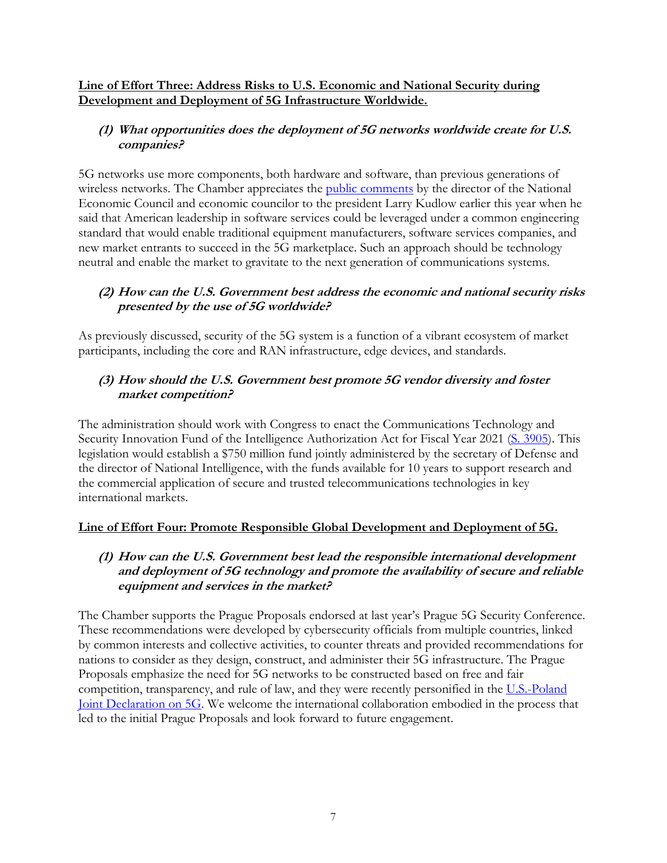#### **Line of Effort Three: Address Risks to U.S. Economic and National Security during Development and Deployment of 5G Infrastructure Worldwide.**

## **(1) What opportunities does the deployment of 5G networks worldwide create for U.S. companies?**

5G networks use more components, both hardware and software, than previous generations of wireless networks. The Chamber appreciates the **public comments** by the director of the National Economic Council and economic councilor to the president Larry Kudlow earlier this year when he said that American leadership in software services could be leveraged under a common engineering standard that would enable traditional equipment manufacturers, software services companies, and new market entrants to succeed in the 5G marketplace. Such an approach should be technology neutral and enable the market to gravitate to the next generation of communications systems.

## **(2) How can the U.S. Government best address the economic and national security risks presented by the use of 5G worldwide?**

As previously discussed, security of the 5G system is a function of a vibrant ecosystem of market participants, including the core and RAN infrastructure, edge devices, and standards.

## **(3) How should the U.S. Government best promote 5G vendor diversity and foster market competition?**

The administration should work with Congress to enact the Communications Technology and Security Innovation Fund of the Intelligence Authorization Act for Fiscal Year 2021 (S. 3905). This legislation would establish a \$750 million fund jointly administered by the secretary of Defense and the director of National Intelligence, with the funds available for 10 years to support research and the commercial application of secure and trusted telecommunications technologies in key international markets.

### **Line of Effort Four: Promote Responsible Global Development and Deployment of 5G.**

#### **(1) How can the U.S. Government best lead the responsible international development and deployment of 5G technology and promote the availability of secure and reliable equipment and services in the market?**

The Chamber supports the Prague Proposals endorsed at last year's Prague 5G Security Conference. These recommendations were developed by cybersecurity officials from multiple countries, linked by common interests and collective activities, to counter threats and provided recommendations for nations to consider as they design, construct, and administer their 5G infrastructure. The Prague Proposals emphasize the need for 5G networks to be constructed based on free and fair competition, transparency, and rule of law, and they were recently personified in the U.S.-Poland Joint Declaration on 5G. We welcome the international collaboration embodied in the process that led to the initial Prague Proposals and look forward to future engagement.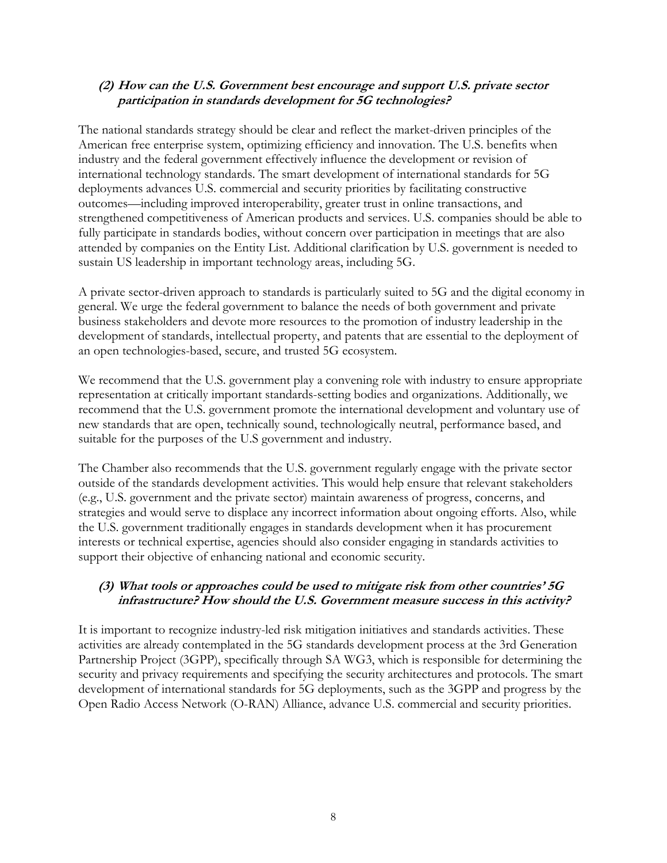#### **(2) How can the U.S. Government best encourage and support U.S. private sector participation in standards development for 5G technologies?**

The national standards strategy should be clear and reflect the market-driven principles of the American free enterprise system, optimizing efficiency and innovation. The U.S. benefits when industry and the federal government effectively influence the development or revision of international technology standards. The smart development of international standards for 5G deployments advances U.S. commercial and security priorities by facilitating constructive outcomes—including improved interoperability, greater trust in online transactions, and strengthened competitiveness of American products and services. U.S. companies should be able to fully participate in standards bodies, without concern over participation in meetings that are also attended by companies on the Entity List. Additional clarification by U.S. government is needed to sustain US leadership in important technology areas, including 5G.

A private sector-driven approach to standards is particularly suited to 5G and the digital economy in general. We urge the federal government to balance the needs of both government and private business stakeholders and devote more resources to the promotion of industry leadership in the development of standards, intellectual property, and patents that are essential to the deployment of an open technologies-based, secure, and trusted 5G ecosystem.

We recommend that the U.S. government play a convening role with industry to ensure appropriate representation at critically important standards-setting bodies and organizations. Additionally, we recommend that the U.S. government promote the international development and voluntary use of new standards that are open, technically sound, technologically neutral, performance based, and suitable for the purposes of the U.S government and industry.

The Chamber also recommends that the U.S. government regularly engage with the private sector outside of the standards development activities. This would help ensure that relevant stakeholders (e.g., U.S. government and the private sector) maintain awareness of progress, concerns, and strategies and would serve to displace any incorrect information about ongoing efforts. Also, while the U.S. government traditionally engages in standards development when it has procurement interests or technical expertise, agencies should also consider engaging in standards activities to support their objective of enhancing national and economic security.

#### **(3) What tools or approaches could be used to mitigate risk from other countries' 5G infrastructure? How should the U.S. Government measure success in this activity?**

It is important to recognize industry-led risk mitigation initiatives and standards activities. These activities are already contemplated in the 5G standards development process at the 3rd Generation Partnership Project (3GPP), specifically through SA WG3, which is responsible for determining the security and privacy requirements and specifying the security architectures and protocols. The smart development of international standards for 5G deployments, such as the 3GPP and progress by the Open Radio Access Network (O-RAN) Alliance, advance U.S. commercial and security priorities.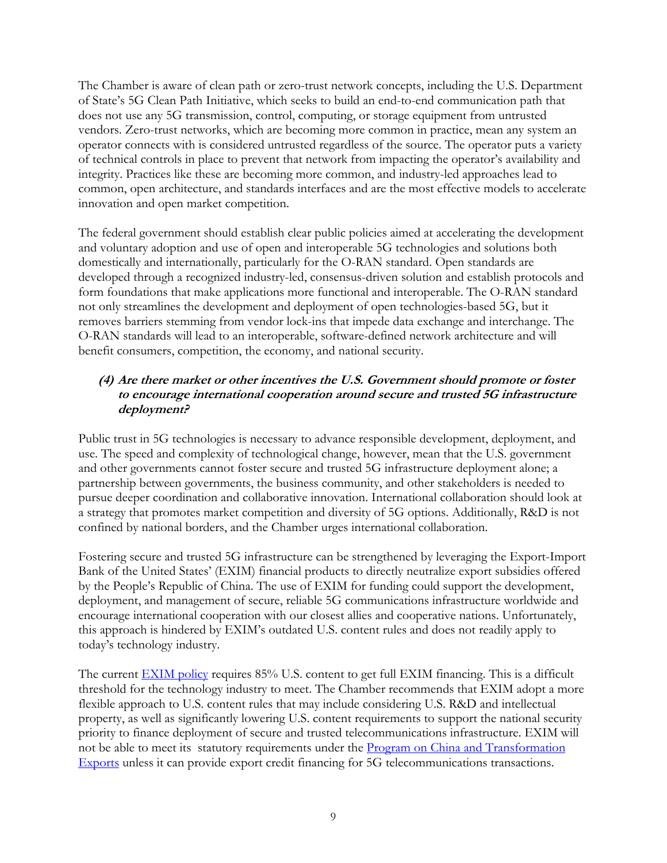The Chamber is aware of clean path or zero-trust network concepts, including the U.S. Department of State's 5G Clean Path Initiative, which seeks to build an end-to-end communication path that does not use any 5G transmission, control, computing, or storage equipment from untrusted vendors. Zero-trust networks, which are becoming more common in practice, mean any system an operator connects with is considered untrusted regardless of the source. The operator puts a variety of technical controls in place to prevent that network from impacting the operator's availability and integrity. Practices like these are becoming more common, and industry-led approaches lead to common, open architecture, and standards interfaces and are the most effective models to accelerate innovation and open market competition.

The federal government should establish clear public policies aimed at accelerating the development and voluntary adoption and use of open and interoperable 5G technologies and solutions both domestically and internationally, particularly for the O-RAN standard. Open standards are developed through a recognized industry-led, consensus-driven solution and establish protocols and form foundations that make applications more functional and interoperable. The O-RAN standard not only streamlines the development and deployment of open technologies-based 5G, but it removes barriers stemming from vendor lock-ins that impede data exchange and interchange. The O-RAN standards will lead to an interoperable, software-defined network architecture and will benefit consumers, competition, the economy, and national security.

### **(4) Are there market or other incentives the U.S. Government should promote or foster to encourage international cooperation around secure and trusted 5G infrastructure deployment?**

Public trust in 5G technologies is necessary to advance responsible development, deployment, and use. The speed and complexity of technological change, however, mean that the U.S. government and other governments cannot foster secure and trusted 5G infrastructure deployment alone; a partnership between governments, the business community, and other stakeholders is needed to pursue deeper coordination and collaborative innovation. International collaboration should look at a strategy that promotes market competition and diversity of 5G options. Additionally, R&D is not confined by national borders, and the Chamber urges international collaboration.

Fostering secure and trusted 5G infrastructure can be strengthened by leveraging the Export-Import Bank of the United States' (EXIM) financial products to directly neutralize export subsidies offered by the People's Republic of China. The use of EXIM for funding could support the development, deployment, and management of secure, reliable 5G communications infrastructure worldwide and encourage international cooperation with our closest allies and cooperative nations. Unfortunately, this approach is hindered by EXIM's outdated U.S. content rules and does not readily apply to today's technology industry.

The current **EXIM** policy requires 85% U.S. content to get full EXIM financing. This is a difficult threshold for the technology industry to meet. The Chamber recommends that EXIM adopt a more flexible approach to U.S. content rules that may include considering U.S. R&D and intellectual property, as well as significantly lowering U.S. content requirements to support the national security priority to finance deployment of secure and trusted telecommunications infrastructure. EXIM will not be able to meet its statutory requirements under the Program on China and Transformation Exports unless it can provide export credit financing for 5G telecommunications transactions.